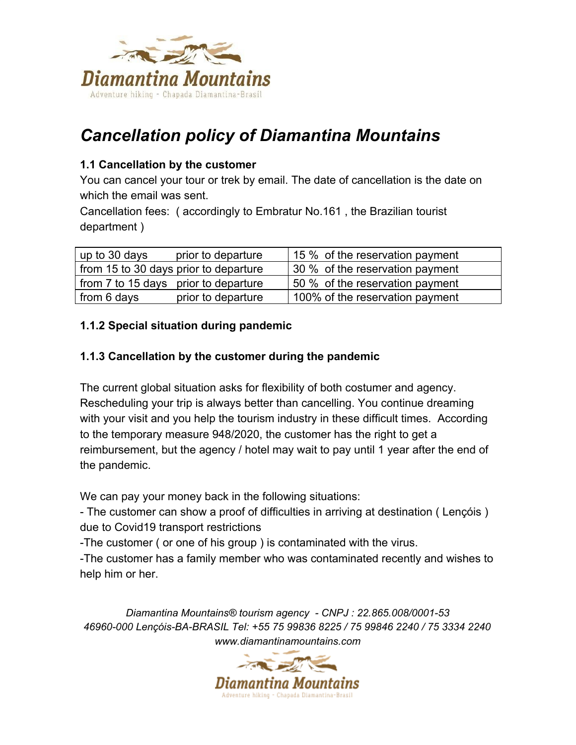

# *Cancellation policy of Diamantina Mountains*

### **1.1 Cancellation by the customer**

You can cancel your tour or trek by email. The date of cancellation is the date on which the email was sent.

Cancellation fees: ( accordingly to Embratur No.161 , the Brazilian tourist department )

| prior to departure<br>up to 30 days   | 15 % of the reservation payment |
|---------------------------------------|---------------------------------|
| from 15 to 30 days prior to departure | 30 % of the reservation payment |
| from 7 to 15 days prior to departure  | 50 % of the reservation payment |
| prior to departure<br>from 6 days     | 100% of the reservation payment |

## **1.1.2 Special situation during pandemic**

#### **1.1.3 Cancellation by the customer during the pandemic**

The current global situation asks for flexibility of both costumer and agency. Rescheduling your trip is always better than cancelling. You continue dreaming with your visit and you help the tourism industry in these difficult times. According to the temporary measure 948/2020, the customer has the right to get a reimbursement, but the agency / hotel may wait to pay until 1 year after the end of the pandemic.

We can pay your money back in the following situations:

- The customer can show a proof of difficulties in arriving at destination ( Lençóis ) due to Covid19 transport restrictions

-The customer ( or one of his group ) is contaminated with the virus.

-The customer has a family member who was contaminated recently and wishes to help him or her.

*Diamantina Mountains® tourism agency - CNPJ : 22.865.008/0001-53 46960-000 Lençóis-BA-BRASIL Tel: +55 75 99836 8225 / 75 99846 2240 / 75 3334 2240 www.diamantinamountains.com*

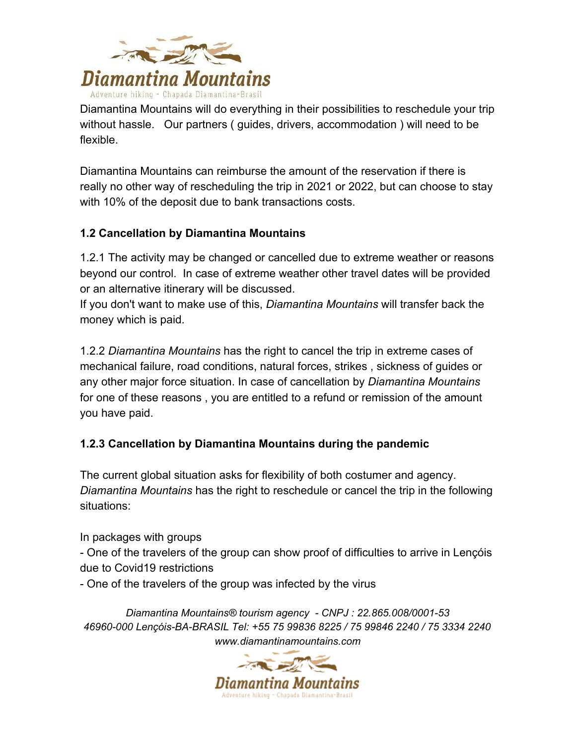

Diamantina Mountains will do everything in their possibilities to reschedule your trip without hassle. Our partners ( guides, drivers, accommodation ) will need to be flexible.

Diamantina Mountains can reimburse the amount of the reservation if there is really no other way of rescheduling the trip in 2021 or 2022, but can choose to stay with 10% of the deposit due to bank transactions costs.

## **1.2 Cancellation by Diamantina Mountains**

1.2.1 The activity may be changed or cancelled due to extreme weather or reasons beyond our control. In case of extreme weather other travel dates will be provided or an alternative itinerary will be discussed.

If you don't want to make use of this, *Diamantina Mountains* will transfer back the money which is paid.

1.2.2 *Diamantina Mountains* has the right to cancel the trip in extreme cases of mechanical failure, road conditions, natural forces, strikes , sickness of guides or any other major force situation. In case of cancellation by *Diamantina Mountains* for one of these reasons , you are entitled to a refund or remission of the amount you have paid.

## **1.2.3 Cancellation by Diamantina Mountains during the pandemic**

The current global situation asks for flexibility of both costumer and agency. *Diamantina Mountains* has the right to reschedule or cancel the trip in the following situations:

In packages with groups

- One of the travelers of the group can show proof of difficulties to arrive in Lençóis due to Covid19 restrictions

- One of the travelers of the group was infected by the virus

*Diamantina Mountains® tourism agency - CNPJ : 22.865.008/0001-53 46960-000 Lençóis-BA-BRASIL Tel: +55 75 99836 8225 / 75 99846 2240 / 75 3334 2240 www.diamantinamountains.com*